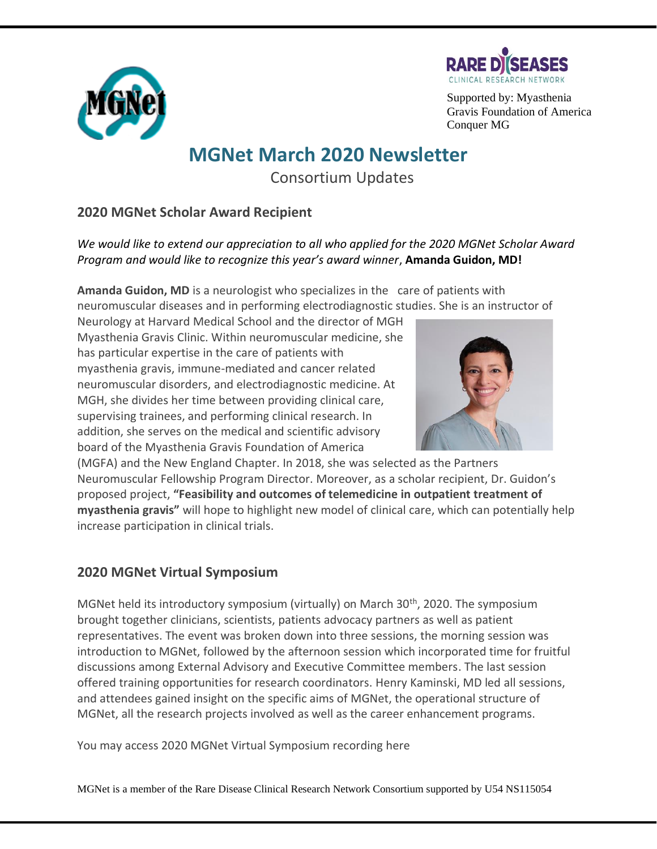



Supported by: Myasthenia Gravis Foundation of America Conquer MG

## **MGNet March 2020 Newsletter**

Consortium Updates

## **2020 MGNet Scholar Award Recipient**

*We would like to extend our appreciation to all who applied for the 2020 MGNet Scholar Award Program and would like to recognize this year's award winner*, **Amanda Guidon, MD!**

**Amanda Guidon, MD** is a neurologist who specializes in the care of patients with neuromuscular diseases and in performing electrodiagnostic studies. She is an instructor of

Neurology at Harvard Medical School and the director of MGH Myasthenia Gravis Clinic. Within neuromuscular medicine, she has particular expertise in the care of patients with myasthenia gravis, immune-mediated and cancer related neuromuscular disorders, and electrodiagnostic medicine. At MGH, she divides her time between providing clinical care, supervising trainees, and performing clinical research. In addition, she serves on the medical and scientific advisory board of the Myasthenia Gravis Foundation of America



(MGFA) and the New England Chapter. In 2018, she was selected as the Partners Neuromuscular Fellowship Program Director. Moreover, as a scholar recipient, Dr. Guidon's proposed project, **"Feasibility and outcomes of telemedicine in outpatient treatment of myasthenia gravis"** will hope to highlight new model of clinical care, which can potentially help increase participation in clinical trials.

## **2020 MGNet Virtual Symposium**

MGNet held its introductory symposium (virtually) on March 30<sup>th</sup>, 2020. The symposium brought together clinicians, scientists, patients advocacy partners as well as patient representatives. The event was broken down into three sessions, the morning session was introduction to MGNet, followed by the afternoon session which incorporated time for fruitful discussions among External Advisory and Executive Committee members. The last session offered training opportunities for research coordinators. Henry Kaminski, MD led all sessions, and attendees gained insight on the specific aims of MGNet, the operational structure of MGNet, all the research projects involved as well as the career enhancement programs.

You may access 2020 MGNet Virtual Symposium recording here

MGNet is a member of the Rare Disease Clinical Research Network Consortium supported by U54 NS115054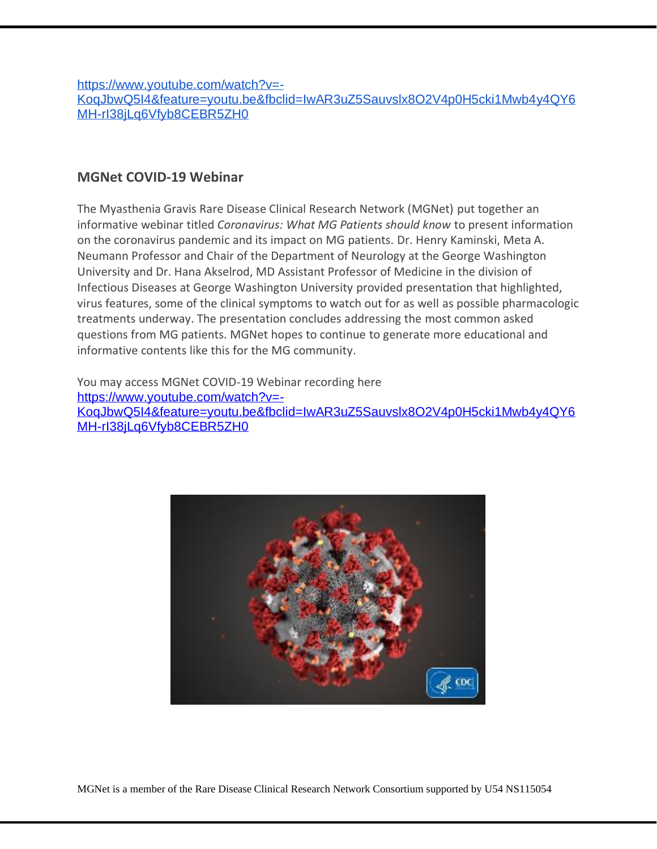[https://www.youtube.com/watch?v=-](https://www.youtube.com/watch?v=-KoqJbwQ5I4&feature=youtu.be&fbclid=IwAR3uZ5Sauvslx8O2V4p0H5cki1Mwb4y4QY6MH-rI38jLq6Vfyb8CEBR5ZH0) [KoqJbwQ5I4&feature=youtu.be&fbclid=IwAR3uZ5Sauvslx8O2V4p0H5cki1Mwb4y4QY6](https://www.youtube.com/watch?v=-KoqJbwQ5I4&feature=youtu.be&fbclid=IwAR3uZ5Sauvslx8O2V4p0H5cki1Mwb4y4QY6MH-rI38jLq6Vfyb8CEBR5ZH0) [MH-rI38jLq6Vfyb8CEBR5ZH0](https://www.youtube.com/watch?v=-KoqJbwQ5I4&feature=youtu.be&fbclid=IwAR3uZ5Sauvslx8O2V4p0H5cki1Mwb4y4QY6MH-rI38jLq6Vfyb8CEBR5ZH0)

## **MGNet COVID-19 Webinar**

The Myasthenia Gravis Rare Disease Clinical Research Network (MGNet) put together an informative webinar titled *Coronavirus: What MG Patients should know* to present information on the coronavirus pandemic and its impact on MG patients. Dr. Henry Kaminski, Meta A. Neumann Professor and Chair of the Department of Neurology at the George Washington University and Dr. Hana Akselrod, MD Assistant Professor of Medicine in the division of Infectious Diseases at George Washington University provided presentation that highlighted, virus features, some of the clinical symptoms to watch out for as well as possible pharmacologic treatments underway. The presentation concludes addressing the most common asked questions from MG patients. MGNet hopes to continue to generate more educational and informative contents like this for the MG community.

You may access MGNet COVID-19 Webinar recording here [https://www.youtube.com/watch?v=-](https://www.youtube.com/watch?v=-KoqJbwQ5I4&feature=youtu.be&fbclid=IwAR3uZ5Sauvslx8O2V4p0H5cki1Mwb4y4QY6MH-rI38jLq6Vfyb8CEBR5ZH0) [KoqJbwQ5I4&feature=youtu.be&fbclid=IwAR3uZ5Sauvslx8O2V4p0H5cki1Mwb4y4QY6](https://www.youtube.com/watch?v=-KoqJbwQ5I4&feature=youtu.be&fbclid=IwAR3uZ5Sauvslx8O2V4p0H5cki1Mwb4y4QY6MH-rI38jLq6Vfyb8CEBR5ZH0) [MH-rI38jLq6Vfyb8CEBR5ZH0](https://www.youtube.com/watch?v=-KoqJbwQ5I4&feature=youtu.be&fbclid=IwAR3uZ5Sauvslx8O2V4p0H5cki1Mwb4y4QY6MH-rI38jLq6Vfyb8CEBR5ZH0)



MGNet is a member of the Rare Disease Clinical Research Network Consortium supported by U54 NS115054